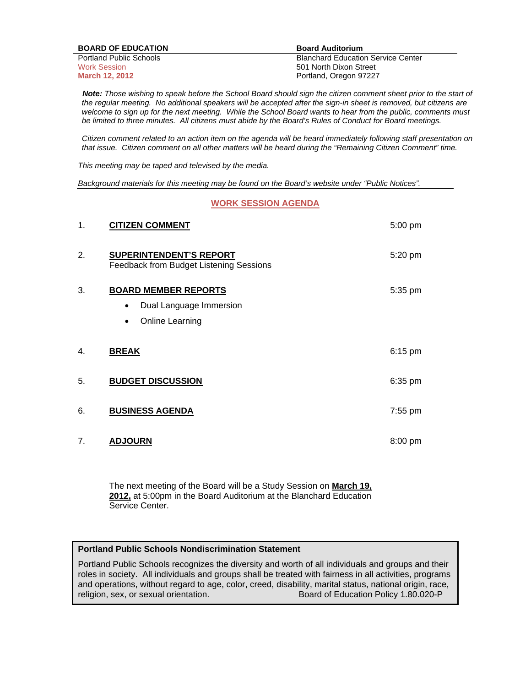| <b>BOARD OF EDUCATION</b>      | <b>Board Auditorium</b>                   |
|--------------------------------|-------------------------------------------|
| <b>Portland Public Schools</b> | <b>Blanchard Education Service Center</b> |
| <b>Work Session</b>            | 501 North Dixon Street                    |
| <b>March 12, 2012</b>          | Portland, Oregon 97227                    |

 *Note: Those wishing to speak before the School Board should sign the citizen comment sheet prior to the start of the regular meeting. No additional speakers will be accepted after the sign-in sheet is removed, but citizens are welcome to sign up for the next meeting. While the School Board wants to hear from the public, comments must be limited to three minutes. All citizens must abide by the Board's Rules of Conduct for Board meetings.* 

 *Citizen comment related to an action item on the agenda will be heard immediately following staff presentation on that issue. Citizen comment on all other matters will be heard during the "Remaining Citizen Comment" time.* 

*This meeting may be taped and televised by the media.* 

*Background materials for this meeting may be found on the Board's website under "Public Notices".* 

#### **WORK SESSION AGENDA**

| 1. | <b>CITIZEN COMMENT</b>                                                    | 5:00 pm   |
|----|---------------------------------------------------------------------------|-----------|
| 2. | <b>SUPERINTENDENT'S REPORT</b><br>Feedback from Budget Listening Sessions | 5:20 pm   |
| 3. | <b>BOARD MEMBER REPORTS</b>                                               | 5:35 pm   |
|    | Dual Language Immersion<br>$\bullet$                                      |           |
|    | Online Learning<br>$\bullet$                                              |           |
|    |                                                                           |           |
| 4. | <b>BREAK</b>                                                              | $6:15$ pm |
| 5. | <b>BUDGET DISCUSSION</b>                                                  | $6:35$ pm |
| 6. | <b>BUSINESS AGENDA</b>                                                    | 7:55 pm   |
| 7. | <b>ADJOURN</b>                                                            | 8:00 pm   |

The next meeting of the Board will be a Study Session on **March 19, 2012,** at 5:00pm in the Board Auditorium at the Blanchard Education Service Center.

#### **Portland Public Schools Nondiscrimination Statement**

Portland Public Schools recognizes the diversity and worth of all individuals and groups and their roles in society. All individuals and groups shall be treated with fairness in all activities, programs and operations, without regard to age, color, creed, disability, marital status, national origin, race, religion, sex, or sexual orientation. Board of Education Policy 1.80.020-P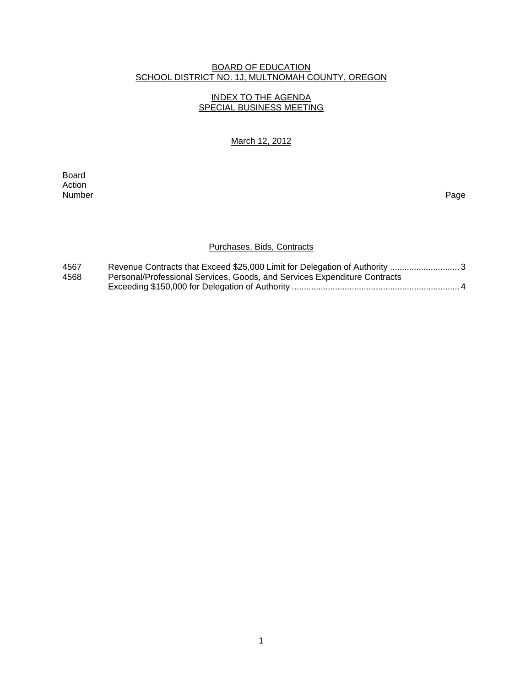## BOARD OF EDUCATION SCHOOL DISTRICT NO. 1J, MULTNOMAH COUNTY, OREGON

## INDEX TO THE AGENDA SPECIAL BUSINESS MEETING

## March 12, 2012

extended and the control of the control of the control of the control of the control of the control of the control of the control of the control of the control of the control of the control of the control of the control of Action Number Page

# Purchases, Bids, Contracts

| 4567 |                                                                           |
|------|---------------------------------------------------------------------------|
| 4568 | Personal/Professional Services, Goods, and Services Expenditure Contracts |
|      |                                                                           |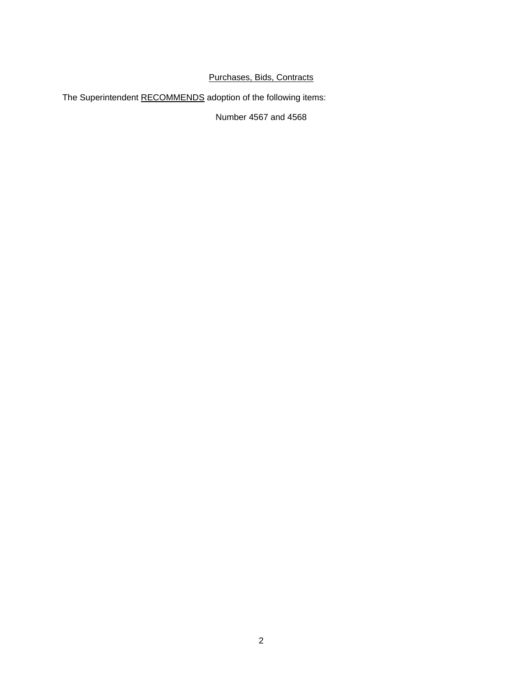# Purchases, Bids, Contracts

The Superintendent RECOMMENDS adoption of the following items:

Number 4567 and 4568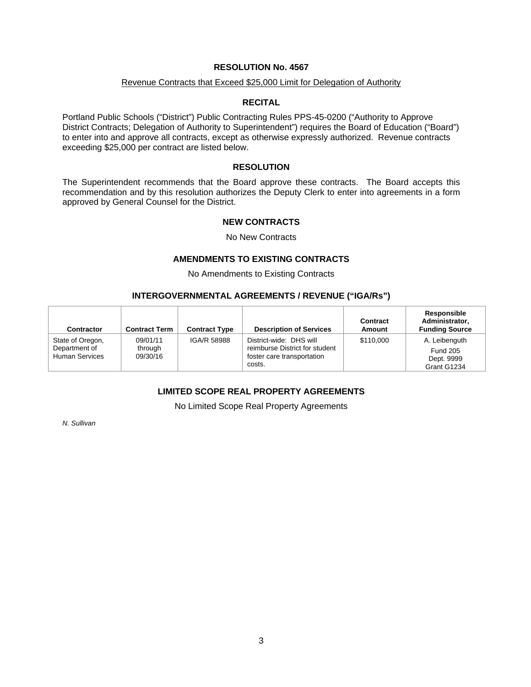## **RESOLUTION No. 4567**

#### Revenue Contracts that Exceed \$25,000 Limit for Delegation of Authority

## **RECITAL**

Portland Public Schools ("District") Public Contracting Rules PPS-45-0200 ("Authority to Approve District Contracts; Delegation of Authority to Superintendent") requires the Board of Education ("Board") to enter into and approve all contracts, except as otherwise expressly authorized. Revenue contracts exceeding \$25,000 per contract are listed below.

## **RESOLUTION**

The Superintendent recommends that the Board approve these contracts. The Board accepts this recommendation and by this resolution authorizes the Deputy Clerk to enter into agreements in a form approved by General Counsel for the District.

## **NEW CONTRACTS**

No New Contracts

#### **AMENDMENTS TO EXISTING CONTRACTS**

No Amendments to Existing Contracts

## **INTERGOVERNMENTAL AGREEMENTS / REVENUE ("IGA/Rs")**

| <b>Contractor</b>                                          | <b>Contract Term</b>            | <b>Contract Type</b> | <b>Description of Services</b>                                                                    | Contract<br>Amount | Responsible<br>Administrator,<br><b>Funding Source</b>        |
|------------------------------------------------------------|---------------------------------|----------------------|---------------------------------------------------------------------------------------------------|--------------------|---------------------------------------------------------------|
| State of Oregon,<br>Department of<br><b>Human Services</b> | 09/01/11<br>through<br>09/30/16 | IGA/R 58988          | District-wide: DHS will<br>reimburse District for student<br>foster care transportation<br>costs. | \$110,000          | A. Leibenguth<br><b>Fund 205</b><br>Dept. 9999<br>Grant G1234 |

# **LIMITED SCOPE REAL PROPERTY AGREEMENTS**

No Limited Scope Real Property Agreements

*N. Sullivan*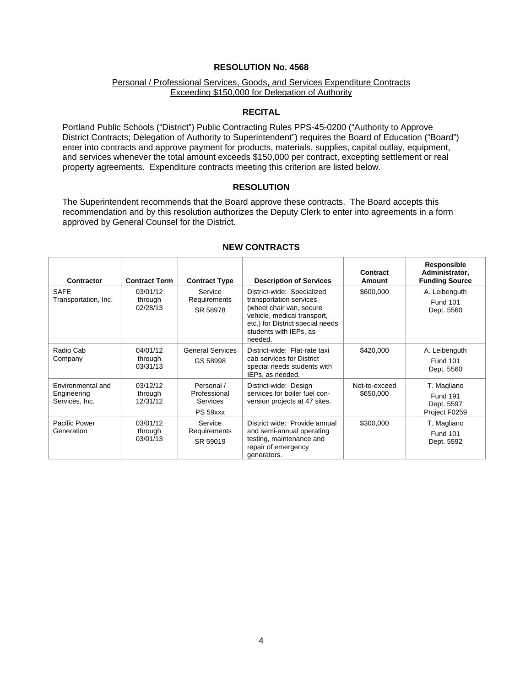## **RESOLUTION No. 4568**

## Personal / Professional Services, Goods, and Services Expenditure Contracts Exceeding \$150,000 for Delegation of Authority

#### **RECITAL**

Portland Public Schools ("District") Public Contracting Rules PPS-45-0200 ("Authority to Approve District Contracts; Delegation of Authority to Superintendent") requires the Board of Education ("Board") enter into contracts and approve payment for products, materials, supplies, capital outlay, equipment, and services whenever the total amount exceeds \$150,000 per contract, excepting settlement or real property agreements. Expenditure contracts meeting this criterion are listed below.

#### **RESOLUTION**

The Superintendent recommends that the Board approve these contracts. The Board accepts this recommendation and by this resolution authorizes the Deputy Clerk to enter into agreements in a form approved by General Counsel for the District.

| <b>Contractor</b>                                  | <b>Contract Term</b>            | <b>Contract Type</b>                               | <b>Description of Services</b>                                                                                                                                                            | Contract<br>Amount         | Responsible<br>Administrator,<br><b>Funding Source</b>        |
|----------------------------------------------------|---------------------------------|----------------------------------------------------|-------------------------------------------------------------------------------------------------------------------------------------------------------------------------------------------|----------------------------|---------------------------------------------------------------|
| <b>SAFE</b><br>Transportation, Inc.                | 03/01/12<br>through<br>02/28/13 | Service<br>Requirements<br>SR 58978                | District-wide: Specialized<br>transportation services<br>(wheel chair van, secure<br>vehicle, medical transport,<br>etc.) for District special needs<br>students with IEPs, as<br>needed. | \$600,000                  | A. Leibenguth<br><b>Fund 101</b><br>Dept. 5560                |
| Radio Cab<br>Company                               | 04/01/12<br>through<br>03/31/13 | <b>General Services</b><br>GS 58998                | District-wide: Flat-rate taxi<br>cab services for District<br>special needs students with<br>IEPs, as needed.                                                                             | \$420,000                  | A. Leibenguth<br><b>Fund 101</b><br>Dept. 5560                |
| Environmental and<br>Engineering<br>Services, Inc. | 03/12/12<br>through<br>12/31/12 | Personal /<br>Professional<br>Services<br>PS 59xxx | District-wide: Design<br>services for boiler fuel con-<br>version projects at 47 sites.                                                                                                   | Not-to-exceed<br>\$650,000 | T. Magliano<br><b>Fund 191</b><br>Dept. 5597<br>Project F0259 |
| Pacific Power<br>Generation                        | 03/01/12<br>through<br>03/01/13 | Service<br>Requirements<br>SR 59019                | District wide: Provide annual<br>and semi-annual operating<br>testing, maintenance and<br>repair of emergency<br>generators.                                                              | \$300,000                  | T. Magliano<br><b>Fund 101</b><br>Dept. 5592                  |

#### **NEW CONTRACTS**